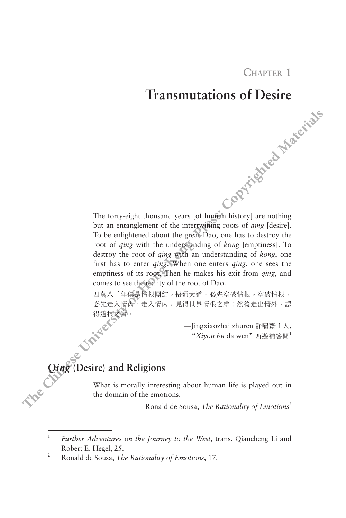**Chapter 1**

## **Transmutations of Desire**

The forty-eight thousand years [of human history] are nothing but an entanglement of the intertwining roots of *qing* [desire]. To be enlightened about the great Dao, one has to destroy the root of *qing* with the understanding of *kong* [emptiness]. To destroy the root of *qing* with an understanding of *kong*, one first has to enter *qing*. When one enters *qing*, one sees the emptiness of its root. Then he makes his exit from *qing*, and comes to see the reality of the root of Dao. **The Chinese University of Hong Kong Press: Copyrighted Materials**

四萬八千年俱是情根團結。悟通大道,必先空破情根。空破情根, 必先走入情內。走入情內,見得世界情根之虛;然後走出情外,認 得道根之質。

 —Jingxiaozhai zhuren 靜嘯齋主人, "*Xiyou bu* da wen" 西遊補答問<sup>1</sup>

Qing<sup>e</sup> (Desire) and Religions<br>What is metallicides What is morally interesting about human life is played out in the domain of the emotions.

—Ronald de Sousa, *The Rationality of Emotions*<sup>2</sup>

<sup>1</sup> *Further Adventures on the Journey to the West,* trans. Qiancheng Li and Robert E. Hegel, 25.

<sup>2</sup> Ronald de Sousa, *The Rationality of Emotions*, 17.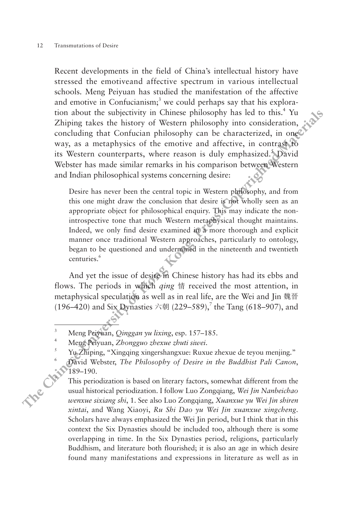Recent developments in the field of China's intellectual history have stressed the emotiveand affective spectrum in various intellectual schools. Meng Peiyuan has studied the manifestation of the affective and emotive in Confucianism;<sup>3</sup> we could perhaps say that his exploration about the subjectivity in Chinese philosophy has led to this.<sup>4</sup> Yu Zhiping takes the history of Western philosophy into consideration, concluding that Confucian philosophy can be characterized, in one way, as a metaphysics of the emotive and affective, in contrast to its Western counterparts, where reason is duly emphasized. David Webster has made similar remarks in his comparison between Western and Indian philosophical systems concerning desire: **These of the control in the control in the control in the set of the set of the set of the set of the set of the set of the set of the set of the set of the set of the set of the set of the set of the set of the set of t** 

Desire has never been the central topic in Western philosophy, and from this one might draw the conclusion that desire is not wholly seen as an appropriate object for philosophical enquiry. This may indicate the nonintrospective tone that much Western metaphysical thought maintains. Indeed, we only find desire examined in a more thorough and explicit manner once traditional Western approaches, particularly to ontology, began to be questioned and undermined in the nineteenth and twentieth centuries.<sup>6</sup>

And yet the issue of desire in Chinese history has had its ebbs and flows. The periods in which *qing* 情 received the most attention, in metaphysical speculation as well as in real life, are the Wei and Jin 魏晉 (196–420) and Six Dynasties 六朝 (229–589),<sup>7</sup> the Tang (618–907), and

This periodization is based on literary factors, somewhat different from the usual historical periodization. I follow Luo  $Z_{noncoine}$  W. usual historical periodization. I follow Luo Zongqiang, *Wei Jin Nanbeichao wenxue sixiang shi*, 1. See also Luo Zongqiang, *Xuanxue yu Wei Jin shiren xintai*, and Wang Xiaoyi, *Ru Shi Dao yu Wei Jin xuanxue xingcheng*. Scholars have always emphasized the Wei Jin period, but I think that in this context the Six Dynasties should be included too, although there is some overlapping in time. In the Six Dynasties period, religions, particularly Buddhism, and literature both flourished; it is also an age in which desire found many manifestations and expressions in literature as well as in

<sup>3</sup> Meng Peiyuan, *Qinggan yu lixing*, esp. 157–185.

<sup>4</sup> Meng Peiyuan, *Zhongguo zhexue zhuti siwei*. 5 Yu Zhiping, "Xingqing xingershangxue: Ruxue zhexue de teyou menjing."

<sup>6</sup> David Webster, *The Philosophy of Desire in the Buddhist Pali Canon*, 189–190.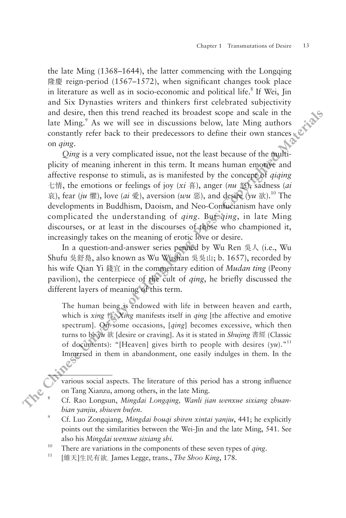the late Ming (1368–1644), the latter commencing with the Longqing 隆慶 reign-period (1567–1572), when significant changes took place in literature as well as in socio-economic and political life.<sup>8</sup> If Wei, Jin and Six Dynasties writers and thinkers first celebrated subjectivity and desire, then this trend reached its broadest scope and scale in the late Ming.<sup>9</sup> As we will see in discussions below, late Ming authors constantly refer back to their predecessors to define their own stances on *qing*.

*Qing* is a very complicated issue, not the least because of the multiplicity of meaning inherent in this term. It means human emotive and affective response to stimuli, as is manifested by the concept of *qiqing*  七情, the emotions or feelings of joy (*xi* 喜), anger (*nu* 怒), sadness (*ai*  $\bar{\mathcal{R}}$ ), fear (*ju* 懼), love (*ai* 愛), aversion (*wu* 惡), and desire ( $\gamma u$  欲).<sup>10</sup> The developments in Buddhism, Daoism, and Neo-Confucianism have only complicated the understanding of *qing*. But *qing*, in late Ming discourses, or at least in the discourses of those who championed it, increasingly takes on the meaning of erotic love or desire. **Example The proportion of**  $150$  $-150$  $240$ **,**  $240$ **, when suggets and the theoretic state observed subjectivity<br>and Six Dynastiss witcres and this<br>leads to proportion and beincal life.<sup>8</sup> if Wei, jin<br>and Six Dynastiss wi** 

In a question-and-answer series penned by Wu Ren 吳人 (i.e., Wu Shufu 吳舒鳧, also known as Wu Wushan 吳吳山; b. 1657), recorded by his wife Qian Yi 錢宜 in the commentary edition of *Mudan ting* (Peony pavilion), the centerpiece of the cult of *qing*, he briefly discussed the different layers of meaning of this term.

The human being is endowed with life in between heaven and earth, which is *xing* 性. *Xing* manifests itself in *qing* [the affective and emotive spectrum]. On some occasions, [*qing*] becomes excessive, which then turns to be *yu* 欲 [desire or craving]. As it is stated in *Shujing* 書經 (Classic of documents): "[Heaven] gives birth to people with desires  $(yu)$ ."<sup>11</sup> Immersed in them in abandonment, one easily indulges in them. In the

various social aspects. The literature of this period has a strong influence on Tang Xianzu, among others, in the late Ming.

points out the similarities between the Wei-Jin and the late Ming, 541. See also his *Mingdai wenxue sixiang shi.* 10 There are variations in the components of these seven types of *qing*.

<sup>11</sup> [維天]生民有欲. James Legge, trans., *The Shoo King*, 178.

<sup>8</sup> Cf. Rao Longsun, *Mingdai Longqing, Wanli jian wenxue sixiang zhuanbian yanjiu, shiwen bufen*. 9 Cf. Luo Zongqiang, *Mingdai houqi shiren xintai yanjiu*, 441; he explicitly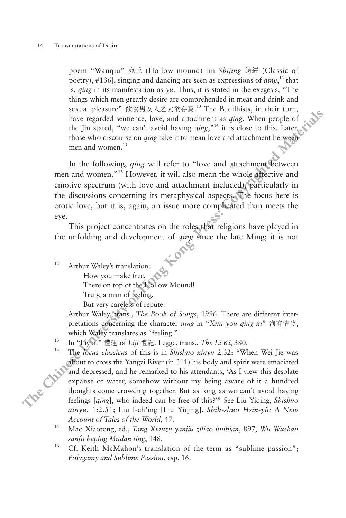poem "Wanqiu" 宛丘 (Hollow mound) [in *Shijing* 詩經 (Classic of poetry), #136], singing and dancing are seen as expressions of *qing*, 12 that is, *qing* in its manifestation as *yu*. Thus, it is stated in the exegesis, "The things which men greatly desire are comprehended in meat and drink and sexual pleasure" 飲食男女人之大欲存焉. 13 The Buddhists, in their turn, have regarded sentience, love, and attachment as *qing*. When people of the Jin stated, "we can't avoid having *qing*,"14 it is close to this. Later, those who discourse on *qing* take it to mean love and attachment between men and women.<sup>15</sup> **Power,**  $y_1 = 0.5$  ( $x_2 = 0.5$ ),  $y_2 = 0.5$  ( $y_3 = 0.5$ ),  $y_4 = 0.5$  ( $y_4 = 0.5$ ),  $y_5 = 0.5$  ( $y_6 = 0.5$ ),  $y_7 = 0.5$  ( $y_7 = 0.5$ ),  $y_8 = 0.5$  ( $y_9 = 0.5$ ),  $y_9 = 0.5$  ( $y_9 = 0.5$ ),  $y_9 = 0.5$  ( $y_9 = 0.5$ ),  $y_9 = 0.5$  (

In the following, *qing* will refer to "love and attachment between men and women."16 However, it will also mean the whole affective and emotive spectrum (with love and attachment included), particularly in the discussions concerning its metaphysical aspects. The focus here is erotic love, but it is, again, an issue more complicated than meets the eye.

This project concentrates on the roles that religions have played in the unfolding and development of *qing* since the late Ming; it is not

<sup>12</sup> Arthur Waley's translation:

How you make free,

There on top of the Hollow Mound!

Truly, a man of feeling,

But very careless of repute.

Arthur Waley, trans., *The Book of Songs*, 1996. There are different interpretations concerning the character *qing* in "*Xun you qing xi*" 洵有情兮, which Waley translates as "feeling." 13 In "Liyun" 禮運 of *Liji* 禮記. Legge, trans., *The Lî Kî*, 380.

<sup>14</sup> The *locus classicus* of this is in *Shishuo xinyu* 2.32: "When Wei Jie was about to cross the Yangzi River (in 311) his body and spirit were emaciated and depressed, and he remarked to his attendants, 'As I view this desolate expanse of water, somehow without my being aware of it a hundred thoughts come crowding together. But as long as we can't avoid having feelings [*qing*], who indeed can be free of this?'" See Liu Yiqing, *Shishuo xinyu*, 1:2.51; Liu I-ch'ing [Liu Yiqing], *Shih-shuo Hsin-yü: A New Account of Tales of the World*, 47. 15 Mao Xiaotong, ed., *Tang Xianzu yanjiu ziliao huibian*, 897; *Wu Wushan* 

*sanfu heping Mudan ting*, 148.

<sup>16</sup> Cf. Keith McMahon's translation of the term as "sublime passion"; *Polygamy and Sublime Passion*, esp. 16.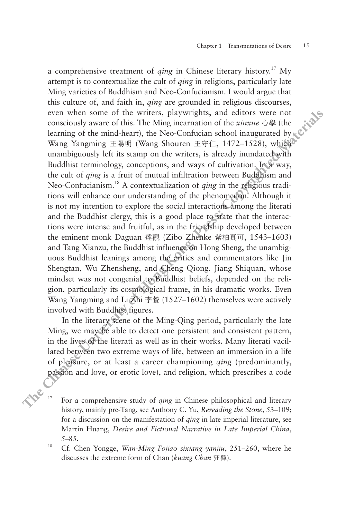a comprehensive treatment of *qing* in Chinese literary history.17 My attempt is to contextualize the cult of *qing* in religions, particularly late Ming varieties of Buddhism and Neo-Confucianism. I would argue that this culture of, and faith in, *qing* are grounded in religious discourses, even when some of the writers, playwrights, and editors were not consciously aware of this. The Ming incarnation of the *xinxue* 心學 (the learning of the mind-heart), the Neo-Confucian school inaugurated by  $\& \mathcal{C}$ Wang Yangming 王陽明 (Wang Shouren 王守仁, 1472–1528), which unambiguously left its stamp on the writers, is already inundated with Buddhist terminology, conceptions, and ways of cultivation. In a way, the cult of *qing* is a fruit of mutual infiltration between Buddhism and Neo-Confucianism.18 A contextualization of *qing* in the religious traditions will enhance our understanding of the phenomenon. Although it is not my intention to explore the social interactions among the literati and the Buddhist clergy, this is a good place to state that the interactions were intense and fruitful, as in the friendship developed between the eminent monk Daguan 達觀 (Zibo Zhenke 紫柏真可, 1543–1603) and Tang Xianzu, the Buddhist influence on Hong Sheng, the unambiguous Buddhist leanings among the critics and commentators like Jin Shengtan, Wu Zhensheng, and Cheng Qiong. Jiang Shiquan, whose mindset was not congenial to Buddhist beliefs, depended on the religion, particularly its cosmological frame, in his dramatic works. Even Wang Yangming and Li乙hi 李贄 (1527–1602) themselves were actively involved with Buddhist figures. **There** is to conservable the control and  $\alpha$  **Chinese Chinese Chinese Chinese Chinese Chinese Chinese Chinese Chinese Chinese Chinese Chinese Chinese Chinese Chinese Chinese Control and** 

In the literary scene of the Ming-Qing period, particularly the late Ming, we may be able to detect one persistent and consistent pattern, in the lives of the literati as well as in their works. Many literati vacillated between two extreme ways of life, between an immersion in a life of pleasure, or at least a career championing *qing* (predominantly, passion and love, or erotic love), and religion, which prescribes a code

<sup>17</sup> For a comprehensive study of *qing* in Chinese philosophical and literary history, mainly pre-Tang, see Anthony C. Yu, *Rereading the Stone*, 53–109; for a discussion on the manifestation of *qing* in late imperial literature, see Martin Huang, *Desire and Fictional Narrative in Late Imperial China*, 5–85. 18 Cf. Chen Yongge, *Wan-Ming Fojiao sixiang yanjiu*, 251–260, where he

discusses the extreme form of Chan (*kuang Chan* 狂禪).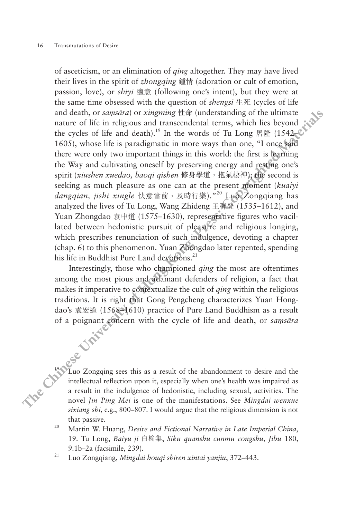of asceticism, or an elimination of *qing* altogether. They may have lived their lives in the spirit of *zhongqing* 鍾情 (adoration or cult of emotion, passion, love), or *shiyi* 適意 (following one's intent), but they were at the same time obsessed with the question of *shengsi* 生死 (cycles of life and death, or *saṃsāra*) or *xingming* 性命 (understanding of the ultimate nature of life in religious and transcendental terms, which lies beyond the cycles of life and death).<sup>19</sup> In the words of Tu Long 屠隆 (1542–16 1605), whose life is paradigmatic in more ways than one, "I once said there were only two important things in this world: the first is learning the Way and cultivating oneself by preserving energy and resting one's spirit (*xiushen xuedao, baoqi qishen* 修身學道,抱氣棲神); the second is seeking as much pleasure as one can at the present moment (*kuaiyi dangqian, jishi xingle* 快意當前,及時行樂)."20 Luo Zongqiang has analyzed the lives of Tu Long, Wang Zhideng 王穉登 (1535–1612), and Yuan Zhongdao 袁中道 (1575–1630), representative figures who vacillated between hedonistic pursuit of pleasure and religious longing, which prescribes renunciation of such indulgence, devoting a chapter (chap. 6) to this phenomenon. Yuan Zhongdao later repented, spending his life in Buddhist Pure Land devotions.<sup>21</sup> then twe in the spiral of *Topongam* set jaintarian of carrier (then then the spectral with the question of *sbengs*  $\cong$  *EK* (cycles of life and elenth, or samssing) or singuring the in (orderstanding of the unlimate a

Interestingly, those who championed *qing* the most are oftentimes among the most pious and adamant defenders of religion, a fact that makes it imperative to contextualize the cult of *qing* within the religious traditions. It is right that Gong Pengcheng characterizes Yuan Hongdao's 袁宏道 (1568–1610) practice of Pure Land Buddhism as a result of a poignant concern with the cycle of life and death, or *saṃsāra*

<sup>19</sup> Luo Zongqing sees this as a result of the abandonment to desire and the intellectual reflection upon it, especially when one's health was impaired as a result in the indulgence of hedonistic, including sexual, activities. The novel *Jin Ping Mei* is one of the manifestations. See *Mingdai wenxue sixiang shi*, e.g., 800–807. I would argue that the religious dimension is not that passive.

<sup>20</sup> Martin W. Huang, *Desire and Fictional Narrative in Late Imperial China*, 19. Tu Long, *Baiyu ji* 白榆集, *Siku quanshu cunmu congshu, Jibu* 180, 9.1b–2a (facsimile, 239). 21 Luo Zongqiang, *Mingdai houqi shiren xintai yanjiu*, 372–443.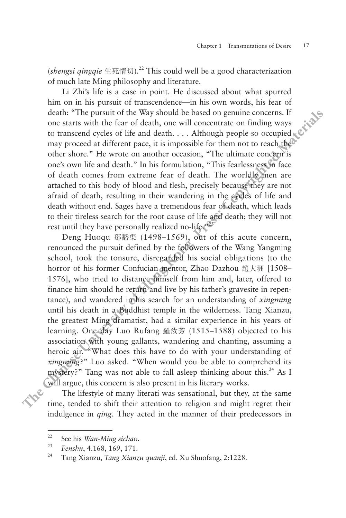(*shengsi qingqie* 生死情切).22 This could well be a good characterization of much late Ming philosophy and literature.

Li Zhi's life is a case in point. He discussed about what spurred him on in his pursuit of transcendence—in his own words, his fear of death: "The pursuit of the Way should be based on genuine concerns. If one starts with the fear of death, one will concentrate on finding ways to transcend cycles of life and death. . . . Although people so occupied  $\mathbb{R}^{\mathbb{C}}$ may proceed at different pace, it is impossible for them not to reach the other shore." He wrote on another occasion, "The ultimate concern is one's own life and death." In his formulation, "This fearlessness in face of death comes from extreme fear of death. The worldly men are attached to this body of blood and flesh, precisely because they are not afraid of death, resulting in their wandering in the cycles of life and death without end. Sages have a tremendous fear of death, which leads to their tireless search for the root cause of life and death; they will not rest until they have personally realized no-life. $2^{23}$ 

Deng Huoqu 鄧豁渠 (1498–1569), out of this acute concern, renounced the pursuit defined by the followers of the Wang Yangming school, took the tonsure, disregarded his social obligations (to the horror of his former Confucian mentor, Zhao Dazhou 趙大洲 [1508– 1576], who tried to distance himself from him and, later, offered to finance him should he return and live by his father's gravesite in repentance), and wandered in his search for an understanding of *xingming*  until his death in a Buddhist temple in the wilderness. Tang Xianzu, the greatest Ming dramatist, had a similar experience in his years of learning. One day Luo Rufang 羅汝芳 (1515–1588) objected to his association with young gallants, wandering and chanting, assuming a heroic air. "What does this have to do with your understanding of *xingming*?" Luo asked. "When would you be able to comprehend its mystery?" Tang was not able to fall asleep thinking about this. $^{24}$  As I will argue, this concern is also present in his literary works. **THE TREAT TO THE THE CONSTRANT IN THE CONSTRANT IN THE CONSTRANT ON THE SIGNATION (TIME THE TREAT OF THE SIGNATION CONSTRANT ON THE PRESS IN EXAMPLE CONSTRANT ON THE PRESS IN EXPLORE THE PRESS CONSTRANT TO THE AND THE CO** 

The lifestyle of many literati was sensational, but they, at the same time, tended to shift their attention to religion and might regret their indulgence in *qing*. They acted in the manner of their predecessors in

<sup>22</sup> See his *Wan-Ming sichao*.

<sup>23</sup> *Fenshu*, 4.168, 169, 171.

<sup>24</sup> Tang Xianzu, *Tang Xianzu quanji*, ed. Xu Shuofang, 2:1228.